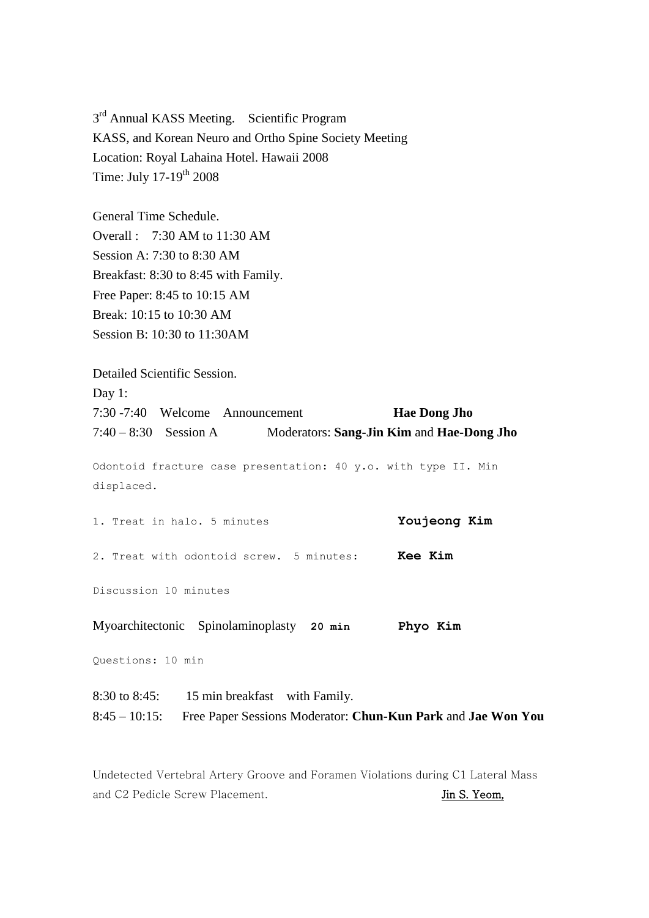3<sup>rd</sup> Annual KASS Meeting. Scientific Program KASS, and Korean Neuro and Ortho Spine Society Meeting Location: Royal Lahaina Hotel. Hawaii 2008 Time: July 17-19<sup>th</sup> 2008

General Time Schedule. Overall : 7:30 AM to 11:30 AM Session A: 7:30 to 8:30 AM Breakfast: 8:30 to 8:45 with Family. Free Paper: 8:45 to 10:15 AM Break: 10:15 to 10:30 AM Session B: 10:30 to 11:30AM

Detailed Scientific Session. Day 1: 7:30 -7:40 Welcome Announcement **Hae Dong Jho** 7:40 – 8:30 Session A Moderators: **Sang-Jin Kim** and **Hae-Dong Jho** Odontoid fracture case presentation: 40 y.o. with type II. Min displaced. 1. Treat in halo. 5 minutes **Youjeong Kim**

2. Treat with odontoid screw. 5 minutes: **Kee Kim**

Discussion 10 minutes

Myoarchitectonic Spinolaminoplasty **20 min Phyo Kim**

Questions: 10 min

8:30 to 8:45: 15 min breakfast with Family. 8:45 – 10:15: Free Paper Sessions Moderator: **Chun-Kun Park** and **Jae Won You** 

Undetected Vertebral Artery Groove and Foramen Violations during C1 Lateral Mass and C2 Pedicle Screw Placement. Jin S. Yeom,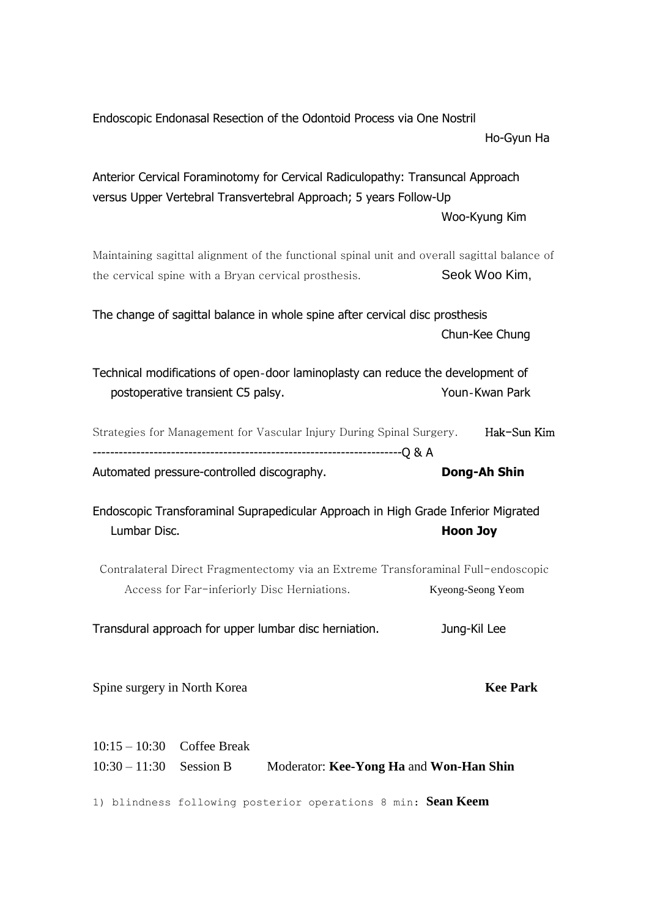| Endoscopic Endonasal Resection of the Odontoid Process via One Nostril                                                                               |                   |
|------------------------------------------------------------------------------------------------------------------------------------------------------|-------------------|
|                                                                                                                                                      | Ho-Gyun Ha        |
| Anterior Cervical Foraminotomy for Cervical Radiculopathy: Transuncal Approach<br>versus Upper Vertebral Transvertebral Approach; 5 years Follow-Up  |                   |
|                                                                                                                                                      | Woo-Kyung Kim     |
| Maintaining sagittal alignment of the functional spinal unit and overall sagittal balance of<br>the cervical spine with a Bryan cervical prosthesis. | Seok Woo Kim,     |
| The change of sagittal balance in whole spine after cervical disc prosthesis                                                                         |                   |
|                                                                                                                                                      | Chun-Kee Chung    |
| Technical modifications of open-door laminoplasty can reduce the development of<br>postoperative transient C5 palsy.                                 | Youn-Kwan Park    |
| Strategies for Management for Vascular Injury During Spinal Surgery. Hak-Sun Kim                                                                     |                   |
| Automated pressure-controlled discography.                                                                                                           | Dong-Ah Shin      |
|                                                                                                                                                      |                   |
| Endoscopic Transforaminal Suprapedicular Approach in High Grade Inferior Migrated<br>Lumbar Disc.                                                    | <b>Hoon Joy</b>   |
| Contralateral Direct Fragmentectomy via an Extreme Transforaminal Full-endoscopic<br>Access for Far-inferiorly Disc Herniations.                     | Kyeong-Seong Yeom |
| Transdural approach for upper lumbar disc herniation.                                                                                                | Jung-Kil Lee      |
| Spine surgery in North Korea                                                                                                                         | <b>Kee Park</b>   |
| <b>Coffee Break</b><br>$10:15 - 10:30$                                                                                                               |                   |
| $10:30 - 11:30$ Session B<br>Moderator: Kee-Yong Ha and Won-Han Shin                                                                                 |                   |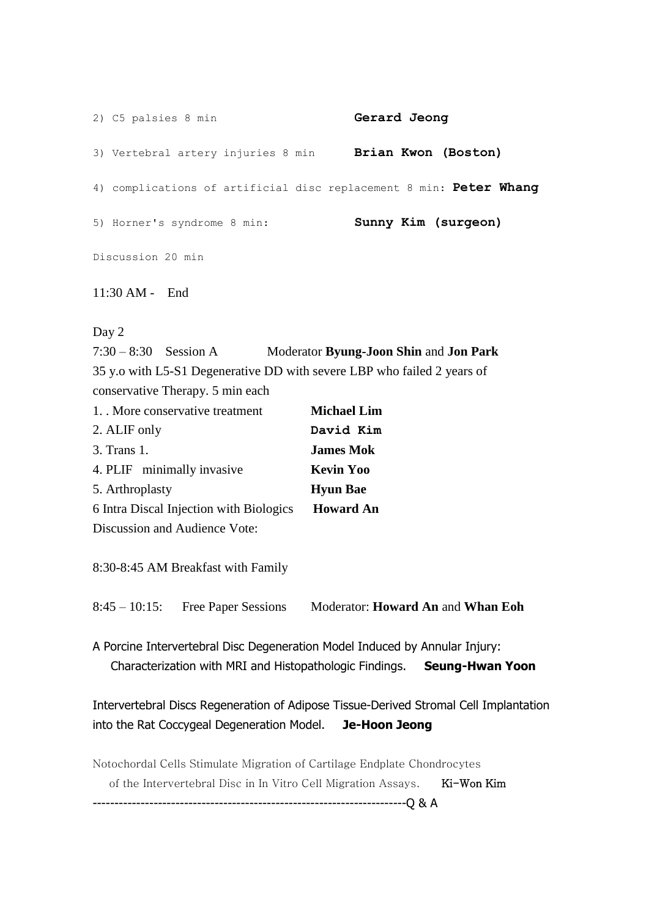2) C5 palsies 8 min **Gerard Jeong** 3) Vertebral artery injuries 8 min **Brian Kwon (Boston)** 4) complications of artificial disc replacement 8 min: **Peter Whang** 5) Horner's syndrome 8 min: **Sunny Kim (surgeon)** Discussion 20 min 11:30 AM - End

Day 2

7:30 – 8:30 Session A Moderator **Byung-Joon Shin** and **Jon Park** 35 y.o with L5-S1 Degenerative DD with severe LBP who failed 2 years of conservative Therapy. 5 min each 1. . More conservative treatment **Michael Lim**

| 2. ALIF only                            | David Kim        |
|-----------------------------------------|------------------|
| 3. Trans 1.                             | <b>James Mok</b> |
| 4. PLIF minimally invasive              | <b>Kevin Yoo</b> |
| 5. Arthroplasty                         | <b>Hyun Bae</b>  |
| 6 Intra Discal Injection with Biologics | <b>Howard An</b> |
| Discussion and Audience Vote:           |                  |

8:30-8:45 AM Breakfast with Family

8:45 – 10:15: Free Paper Sessions Moderator: **Howard An** and **Whan Eoh**

A Porcine Intervertebral Disc Degeneration Model Induced by Annular Injury: Characterization with MRI and Histopathologic Findings. **Seung-Hwan Yoon**

Intervertebral Discs Regeneration of Adipose Tissue-Derived Stromal Cell Implantation into the Rat Coccygeal Degeneration Model. **Je-Hoon Jeong**

Notochordal Cells Stimulate Migration of Cartilage Endplate Chondrocytes

of the Intervertebral Disc in In Vitro Cell Migration Assays. Ki-Won Kim

------------------------------------------------------------------------Q & A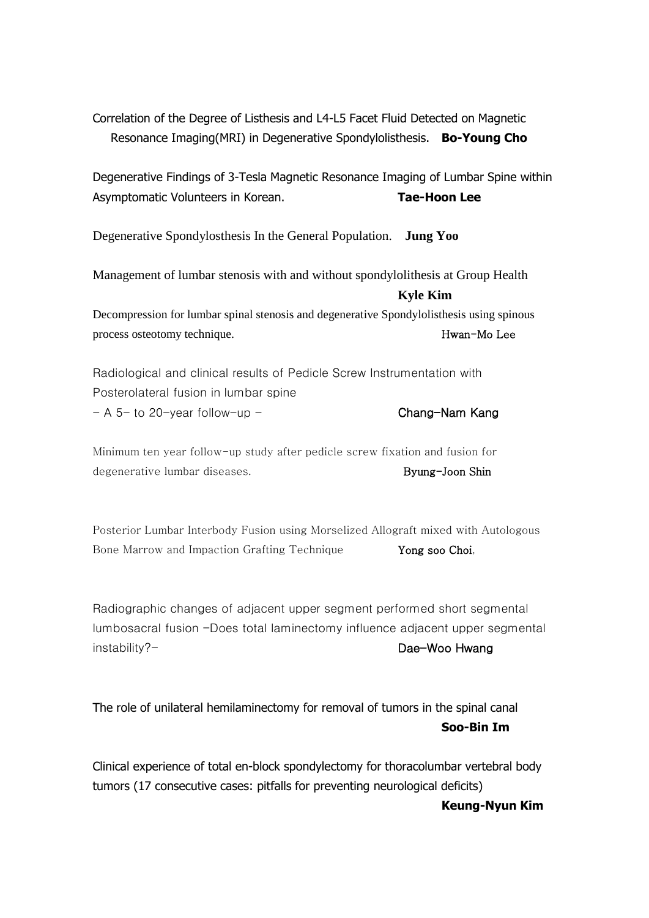Correlation of the Degree of Listhesis and L4-L5 Facet Fluid Detected on Magnetic Resonance Imaging(MRI) in Degenerative Spondylolisthesis. **Bo-Young Cho**

Degenerative Findings of 3-Tesla Magnetic Resonance Imaging of Lumbar Spine within Asymptomatic Volunteers in Korean. **Tae-Hoon Lee**

Degenerative Spondylosthesis In the General Population. **Jung Yoo**

Management of lumbar stenosis with and without spondylolithesis at Group Health **Kyle Kim** Decompression for lumbar spinal stenosis and degenerative Spondylolisthesis using spinous

process osteotomy technique. Hwan-Mo Lee

Radiological and clinical results of Pedicle Screw Instrumentation with Posterolateral fusion in lumbar spine  $- A 5$ - to 20-year follow-up - Chang-Nam Kang

Minimum ten year follow-up study after pedicle screw fixation and fusion for degenerative lumbar diseases. The second state of the Byung-Joon Shin

Posterior Lumbar Interbody Fusion using Morselized Allograft mixed with Autologous Bone Marrow and Impaction Grafting Technique **Yong soo Choi**,

Radiographic changes of adjacent upper segment performed short segmental lumbosacral fusion -Does total laminectomy influence adjacent upper segmental instability?- Dae-Woo Hwang

The role of unilateral hemilaminectomy for removal of tumors in the spinal canal **Soo-Bin Im**

Clinical experience of total en-block spondylectomy for thoracolumbar vertebral body tumors (17 consecutive cases: pitfalls for preventing neurological deficits)

**Keung-Nyun Kim**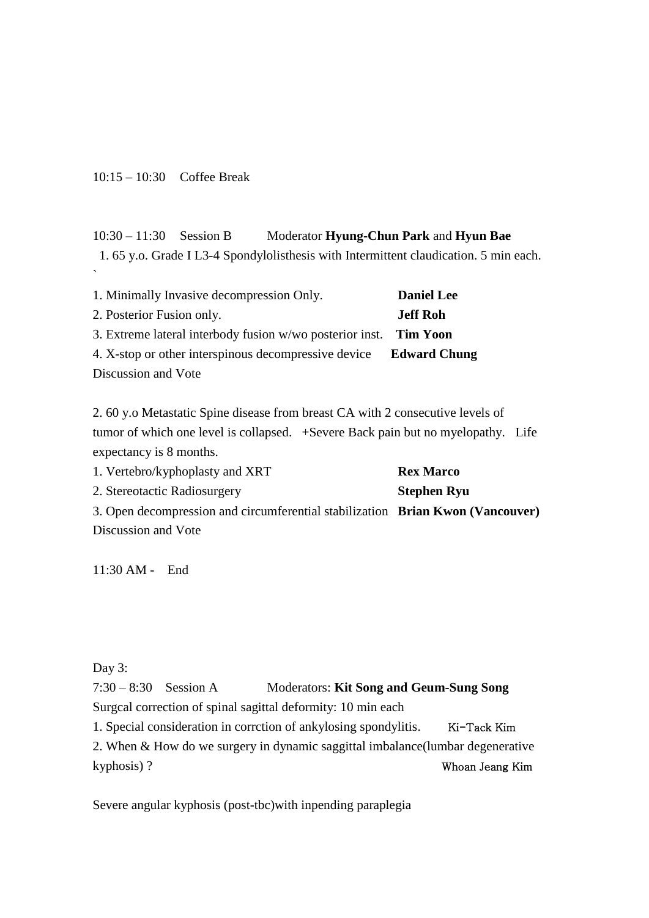10:15 – 10:30 Coffee Break

## 10:30 – 11:30 Session B Moderator **Hyung-Chun Park** and **Hyun Bae**

1. 65 y.o. Grade I L3-4 Spondylolisthesis with Intermittent claudication. 5 min each. `

| 1. Minimally Invasive decompression Only.                         | <b>Daniel Lee</b> |
|-------------------------------------------------------------------|-------------------|
| 2. Posterior Fusion only.                                         | <b>Jeff Roh</b>   |
| 3. Extreme lateral interbody fusion w/wo posterior inst. Tim Yoon |                   |
| 4. X-stop or other interspinous decompressive device Edward Chung |                   |
| Discussion and Vote                                               |                   |

2. 60 y.o Metastatic Spine disease from breast CA with 2 consecutive levels of tumor of which one level is collapsed. +Severe Back pain but no myelopathy. Life expectancy is 8 months.

1. Vertebro/kyphoplasty and XRT **Rex Marco** 2. Stereotactic Radiosurgery **Stephen Ryu** 3. Open decompression and circumferential stabilization **Brian Kwon (Vancouver)** Discussion and Vote

11:30 AM - End

## Day 3:

7:30 – 8:30 Session A Moderators: **Kit Song and Geum-Sung Song** Surgcal correction of spinal sagittal deformity: 10 min each 1. Special consideration in corrction of ankylosing spondylitis. Ki-Tack Kim 2. When & How do we surgery in dynamic saggittal imbalance(lumbar degenerative kyphosis) ? Whoan Jeang Kim

Severe angular kyphosis (post-tbc)with inpending paraplegia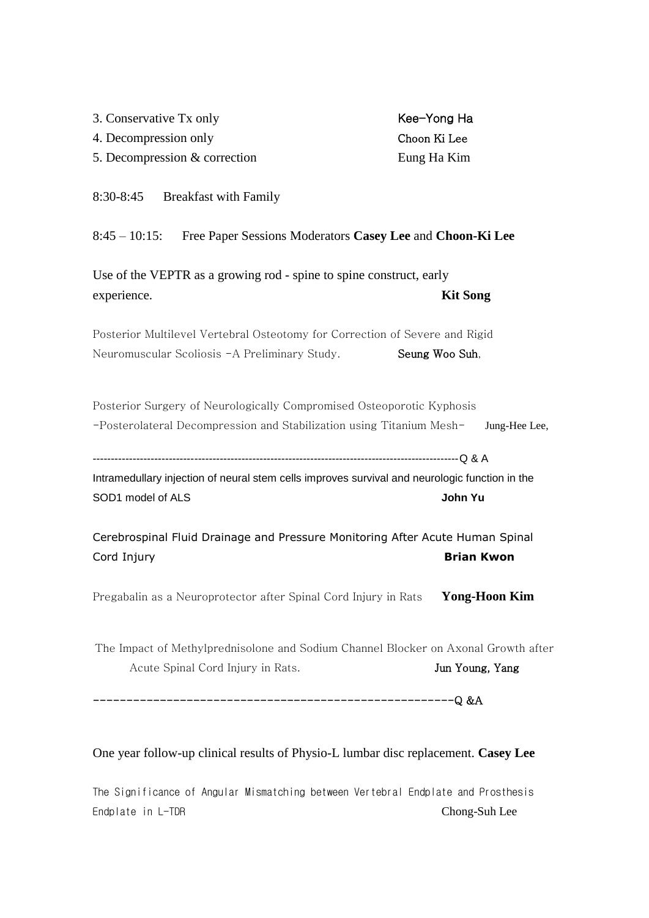| 3. Conservative Tx only                                                                        | Kee-Yong Ha          |
|------------------------------------------------------------------------------------------------|----------------------|
| 4. Decompression only                                                                          | Choon Ki Lee         |
| 5. Decompression & correction                                                                  | Eung Ha Kim          |
| 8:30-8:45 Breakfast with Family                                                                |                      |
| 8:45 – 10:15: Free Paper Sessions Moderators Casey Lee and Choon-Ki Lee                        |                      |
| Use of the VEPTR as a growing rod - spine to spine construct, early                            |                      |
| experience.                                                                                    | <b>Kit Song</b>      |
| Posterior Multilevel Vertebral Osteotomy for Correction of Severe and Rigid                    |                      |
| Neuromuscular Scoliosis -A Preliminary Study.                                                  | Seung Woo Suh,       |
| Posterior Surgery of Neurologically Compromised Osteoporotic Kyphosis                          |                      |
| -Posterolateral Decompression and Stabilization using Titanium Mesh-                           | Jung-Hee Lee,        |
| Intramedullary injection of neural stem cells improves survival and neurologic function in the |                      |
| SOD1 model of ALS                                                                              | John Yu              |
| Cerebrospinal Fluid Drainage and Pressure Monitoring After Acute Human Spinal                  |                      |
| Cord Injury                                                                                    | <b>Brian Kwon</b>    |
| Pregabalin as a Neuroprotector after Spinal Cord Injury in Rats                                | <b>Yong-Hoon Kim</b> |
| The Impact of Methylprednisolone and Sodium Channel Blocker on Axonal Growth after             |                      |
| Acute Spinal Cord Injury in Rats.                                                              | Jun Young, Yang      |
|                                                                                                |                      |
|                                                                                                |                      |

## One year follow-up clinical results of Physio-L lumbar disc replacement. **Casey Lee**

The Significance of Angular Mismatching between Vertebral Endplate and Prosthesis Endplate in L-TDR Chong-Suh Lee